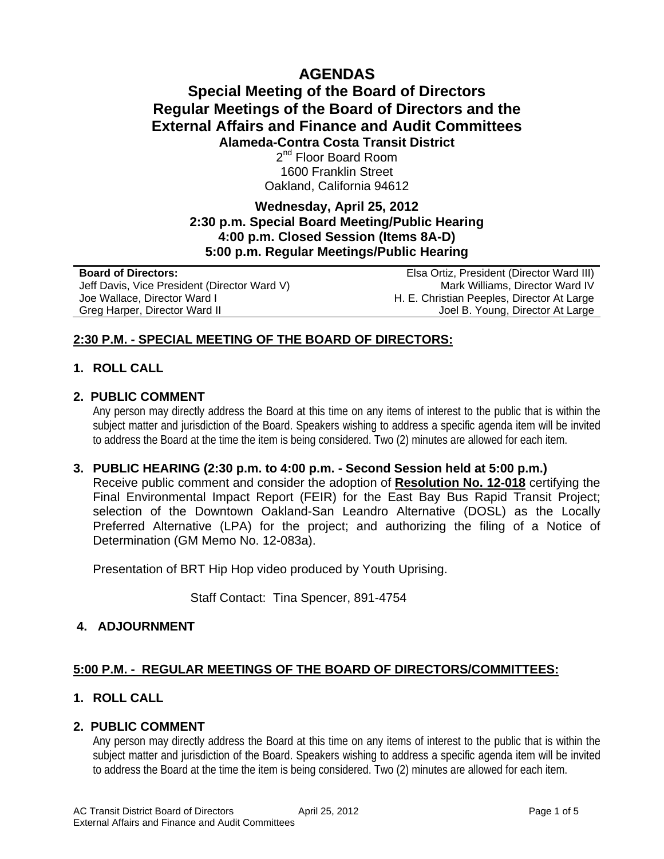# **AGENDAS**

## **Special Meeting of the Board of Directors Regular Meetings of the Board of Directors and the External Affairs and Finance and Audit Committees Alameda-Contra Costa Transit District**  2<sup>nd</sup> Floor Board Room

1600 Franklin Street Oakland, California 94612

### **Wednesday, April 25, 2012 2:30 p.m. Special Board Meeting/Public Hearing 4:00 p.m. Closed Session (Items 8A-D) 5:00 p.m. Regular Meetings/Public Hearing**

| <b>Board of Directors:</b>                   | Elsa Ortiz, President (Director Ward III)  |
|----------------------------------------------|--------------------------------------------|
| Jeff Davis, Vice President (Director Ward V) | Mark Williams, Director Ward IV            |
| Joe Wallace, Director Ward I                 | H. E. Christian Peeples, Director At Large |
| Greg Harper, Director Ward II                | Joel B. Young, Director At Large           |

### **2:30 P.M. - SPECIAL MEETING OF THE BOARD OF DIRECTORS:**

### **1. ROLL CALL**

### **2. PUBLIC COMMENT**

Any person may directly address the Board at this time on any items of interest to the public that is within the subject matter and jurisdiction of the Board. Speakers wishing to address a specific agenda item will be invited to address the Board at the time the item is being considered. Two (2) minutes are allowed for each item.

### **3. PUBLIC HEARING (2:30 p.m. to 4:00 p.m. - Second Session held at 5:00 p.m.)**

Receive public comment and consider the adoption of **Resolution No. 12-018** certifying the Final Environmental Impact Report (FEIR) for the East Bay Bus Rapid Transit Project; selection of the Downtown Oakland-San Leandro Alternative (DOSL) as the Locally Preferred Alternative (LPA) for the project; and authorizing the filing of a Notice of Determination (GM Memo No. 12-083a).

Presentation of BRT Hip Hop video produced by Youth Uprising.

Staff Contact: Tina Spencer, 891-4754

### **4. ADJOURNMENT**

### **5:00 P.M. - REGULAR MEETINGS OF THE BOARD OF DIRECTORS/COMMITTEES:**

### **1. ROLL CALL**

### **2. PUBLIC COMMENT**

Any person may directly address the Board at this time on any items of interest to the public that is within the subject matter and jurisdiction of the Board. Speakers wishing to address a specific agenda item will be invited to address the Board at the time the item is being considered. Two (2) minutes are allowed for each item.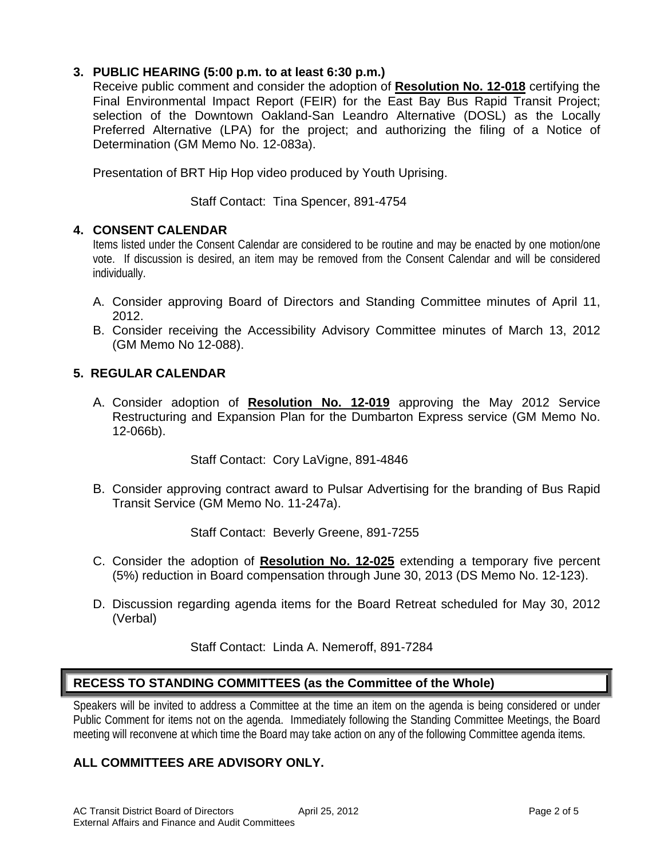### **3. PUBLIC HEARING (5:00 p.m. to at least 6:30 p.m.)**

Receive public comment and consider the adoption of **Resolution No. 12-018** certifying the Final Environmental Impact Report (FEIR) for the East Bay Bus Rapid Transit Project; selection of the Downtown Oakland-San Leandro Alternative (DOSL) as the Locally Preferred Alternative (LPA) for the project; and authorizing the filing of a Notice of Determination (GM Memo No. 12-083a).

Presentation of BRT Hip Hop video produced by Youth Uprising.

### Staff Contact: Tina Spencer, 891-4754

### **4. CONSENT CALENDAR**

Items listed under the Consent Calendar are considered to be routine and may be enacted by one motion/one vote. If discussion is desired, an item may be removed from the Consent Calendar and will be considered individually.

- A. Consider approving Board of Directors and Standing Committee minutes of April 11, 2012.
- B. Consider receiving the Accessibility Advisory Committee minutes of March 13, 2012 (GM Memo No 12-088).

### **5. REGULAR CALENDAR**

A. Consider adoption of **Resolution No. 12-019** approving the May 2012 Service Restructuring and Expansion Plan for the Dumbarton Express service (GM Memo No. 12-066b).

Staff Contact: Cory LaVigne, 891-4846

B. Consider approving contract award to Pulsar Advertising for the branding of Bus Rapid Transit Service (GM Memo No. 11-247a).

Staff Contact: Beverly Greene, 891-7255

- C. Consider the adoption of **Resolution No. 12-025** extending a temporary five percent (5%) reduction in Board compensation through June 30, 2013 (DS Memo No. 12-123).
- D. Discussion regarding agenda items for the Board Retreat scheduled for May 30, 2012 (Verbal)

Staff Contact: Linda A. Nemeroff, 891-7284

### **RECESS TO STANDING COMMITTEES (as the Committee of the Whole)**

Speakers will be invited to address a Committee at the time an item on the agenda is being considered or under Public Comment for items not on the agenda. Immediately following the Standing Committee Meetings, the Board meeting will reconvene at which time the Board may take action on any of the following Committee agenda items.

## **ALL COMMITTEES ARE ADVISORY ONLY.**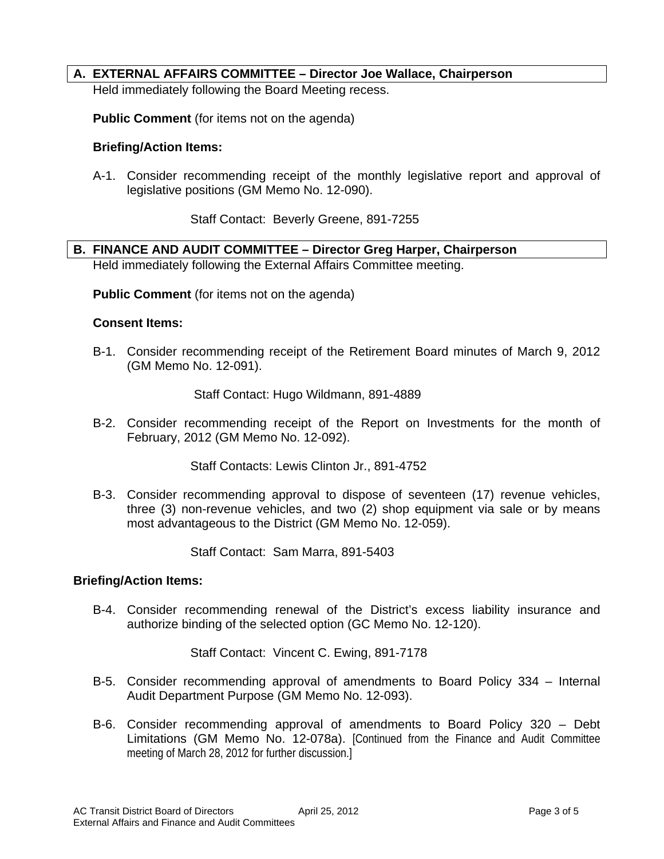### **A. EXTERNAL AFFAIRS COMMITTEE – Director Joe Wallace, Chairperson**

Held immediately following the Board Meeting recess.

**Public Comment** (for items not on the agenda)

#### **Briefing/Action Items:**

A-1. Consider recommending receipt of the monthly legislative report and approval of legislative positions (GM Memo No. 12-090).

Staff Contact: Beverly Greene, 891-7255

**B. FINANCE AND AUDIT COMMITTEE – Director Greg Harper, Chairperson**  Held immediately following the External Affairs Committee meeting.

**Public Comment** (for items not on the agenda)

#### **Consent Items:**

B-1. Consider recommending receipt of the Retirement Board minutes of March 9, 2012 (GM Memo No. 12-091).

Staff Contact: Hugo Wildmann, 891-4889

B-2. Consider recommending receipt of the Report on Investments for the month of February, 2012 (GM Memo No. 12-092).

Staff Contacts: Lewis Clinton Jr., 891-4752

B-3. Consider recommending approval to dispose of seventeen (17) revenue vehicles, three (3) non-revenue vehicles, and two (2) shop equipment via sale or by means most advantageous to the District (GM Memo No. 12-059).

Staff Contact: Sam Marra, 891-5403

#### **Briefing/Action Items:**

B-4. Consider recommending renewal of the District's excess liability insurance and authorize binding of the selected option (GC Memo No. 12-120).

Staff Contact: Vincent C. Ewing, 891-7178

- B-5. Consider recommending approval of amendments to Board Policy 334 Internal Audit Department Purpose (GM Memo No. 12-093).
- B-6. Consider recommending approval of amendments to Board Policy 320 Debt Limitations (GM Memo No. 12-078a). [Continued from the Finance and Audit Committee meeting of March 28, 2012 for further discussion.]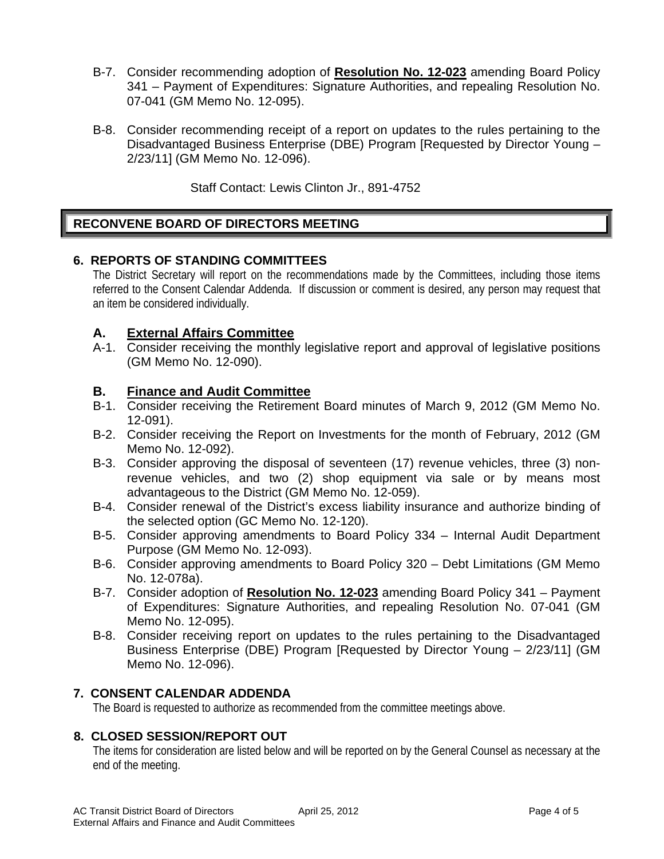- B-7. Consider recommending adoption of **Resolution No. 12-023** amending Board Policy 341 – Payment of Expenditures: Signature Authorities, and repealing Resolution No. 07-041 (GM Memo No. 12-095).
- B-8. Consider recommending receipt of a report on updates to the rules pertaining to the Disadvantaged Business Enterprise (DBE) Program [Requested by Director Young – 2/23/11] (GM Memo No. 12-096).

Staff Contact: Lewis Clinton Jr., 891-4752

### **RECONVENE BOARD OF DIRECTORS MEETING**

### **6. REPORTS OF STANDING COMMITTEES**

The District Secretary will report on the recommendations made by the Committees, including those items referred to the Consent Calendar Addenda. If discussion or comment is desired, any person may request that an item be considered individually.

### **A. External Affairs Committee**

A-1. Consider receiving the monthly legislative report and approval of legislative positions (GM Memo No. 12-090).

### **B. Finance and Audit Committee**

- B-1. Consider receiving the Retirement Board minutes of March 9, 2012 (GM Memo No. 12-091).
- B-2. Consider receiving the Report on Investments for the month of February, 2012 (GM Memo No. 12-092).
- B-3. Consider approving the disposal of seventeen (17) revenue vehicles, three (3) nonrevenue vehicles, and two (2) shop equipment via sale or by means most advantageous to the District (GM Memo No. 12-059).
- B-4. Consider renewal of the District's excess liability insurance and authorize binding of the selected option (GC Memo No. 12-120).
- B-5. Consider approving amendments to Board Policy 334 Internal Audit Department Purpose (GM Memo No. 12-093).
- B-6. Consider approving amendments to Board Policy 320 Debt Limitations (GM Memo No. 12-078a).
- B-7. Consider adoption of **Resolution No. 12-023** amending Board Policy 341 Payment of Expenditures: Signature Authorities, and repealing Resolution No. 07-041 (GM Memo No. 12-095).
- B-8. Consider receiving report on updates to the rules pertaining to the Disadvantaged Business Enterprise (DBE) Program [Requested by Director Young – 2/23/11] (GM Memo No. 12-096).

### **7. CONSENT CALENDAR ADDENDA**

The Board is requested to authorize as recommended from the committee meetings above.

### **8. CLOSED SESSION/REPORT OUT**

The items for consideration are listed below and will be reported on by the General Counsel as necessary at the end of the meeting.